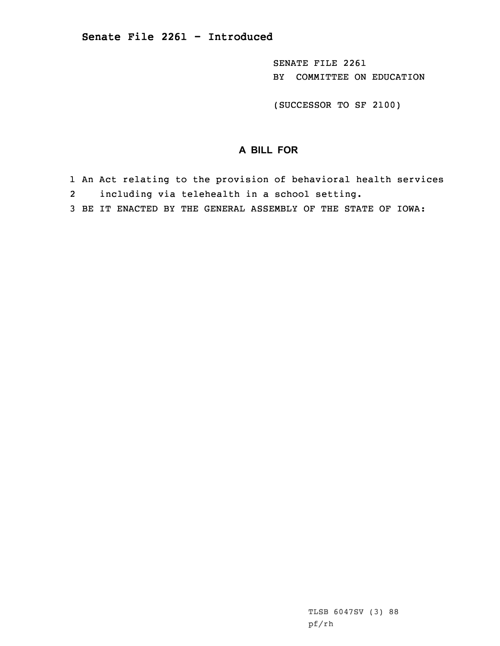SENATE FILE 2261 BY COMMITTEE ON EDUCATION

(SUCCESSOR TO SF 2100)

## **A BILL FOR**

- 1 An Act relating to the provision of behavioral health services
- 2including via telehealth in <sup>a</sup> school setting.
- 3 BE IT ENACTED BY THE GENERAL ASSEMBLY OF THE STATE OF IOWA: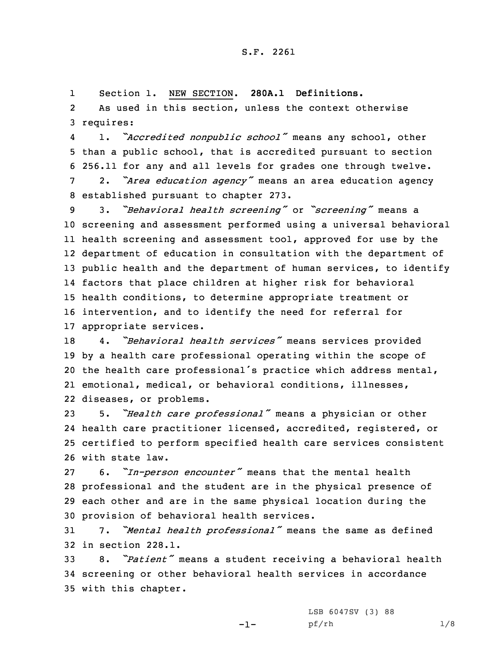1Section 1. NEW SECTION. **280A.1 Definitions.**

2 As used in this section, unless the context otherwise 3 requires:

4 1. *"Accredited nonpublic school"* means any school, other than <sup>a</sup> public school, that is accredited pursuant to section 256.11 for any and all levels for grades one through twelve. 2. *"Area education agency"* means an area education agency established pursuant to chapter 273.

 3. *"Behavioral health screening"* or *"screening"* means <sup>a</sup> screening and assessment performed using <sup>a</sup> universal behavioral health screening and assessment tool, approved for use by the department of education in consultation with the department of 13 public health and the department of human services, to identify factors that place children at higher risk for behavioral health conditions, to determine appropriate treatment or intervention, and to identify the need for referral for appropriate services.

 4. *"Behavioral health services"* means services provided by <sup>a</sup> health care professional operating within the scope of the health care professional's practice which address mental, emotional, medical, or behavioral conditions, illnesses, diseases, or problems.

 5. *"Health care professional"* means <sup>a</sup> physician or other health care practitioner licensed, accredited, registered, or certified to perform specified health care services consistent with state law.

 6. *"In-person encounter"* means that the mental health professional and the student are in the physical presence of each other and are in the same physical location during the provision of behavioral health services.

<sup>31</sup> 7. *"Mental health professional"* means the same as defined 32 in section 228.1.

<sup>33</sup> 8. *"Patient"* means <sup>a</sup> student receiving <sup>a</sup> behavioral health 34 screening or other behavioral health services in accordance 35 with this chapter.

-1-

LSB 6047SV (3) 88 pf/rh 1/8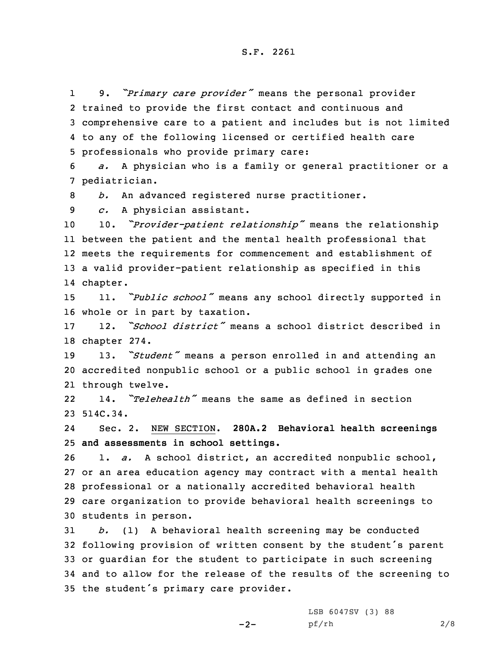1 9. *"Primary care provider"* means the personal provider trained to provide the first contact and continuous and comprehensive care to <sup>a</sup> patient and includes but is not limited to any of the following licensed or certified health care professionals who provide primary care:

6 *a.* <sup>A</sup> physician who is <sup>a</sup> family or general practitioner or <sup>a</sup> 7 pediatrician.

8 *b.* An advanced registered nurse practitioner.

9 *c.* <sup>A</sup> physician assistant.

 10. *"Provider-patient relationship"* means the relationship between the patient and the mental health professional that meets the requirements for commencement and establishment of <sup>a</sup> valid provider-patient relationship as specified in this 14 chapter.

<sup>15</sup> 11. *"Public school"* means any school directly supported in 16 whole or in part by taxation.

17 12. *"School district"* means <sup>a</sup> school district described in 18 chapter 274.

<sup>19</sup> 13. *"Student"* means <sup>a</sup> person enrolled in and attending an 20 accredited nonpublic school or <sup>a</sup> public school in grades one 21 through twelve.

22 14. *"Telehealth"* means the same as defined in section 23 514C.34.

24 Sec. 2. NEW SECTION. **280A.2 Behavioral health screenings** 25 **and assessments in school settings.**

 1. *a.* <sup>A</sup> school district, an accredited nonpublic school, or an area education agency may contract with <sup>a</sup> mental health professional or <sup>a</sup> nationally accredited behavioral health care organization to provide behavioral health screenings to students in person.

 *b.* (1) <sup>A</sup> behavioral health screening may be conducted following provision of written consent by the student's parent or guardian for the student to participate in such screening and to allow for the release of the results of the screening to the student's primary care provider.

 $-2-$ 

LSB 6047SV (3) 88 pf/rh 2/8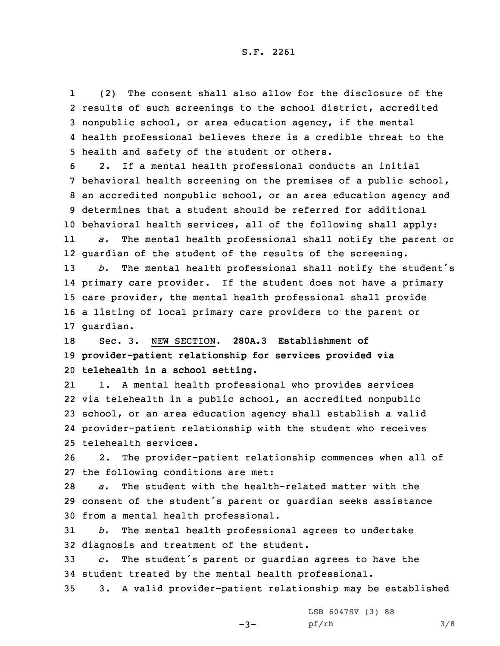1 (2) The consent shall also allow for the disclosure of the results of such screenings to the school district, accredited nonpublic school, or area education agency, if the mental health professional believes there is <sup>a</sup> credible threat to the health and safety of the student or others.

 2. If <sup>a</sup> mental health professional conducts an initial behavioral health screening on the premises of <sup>a</sup> public school, an accredited nonpublic school, or an area education agency and determines that <sup>a</sup> student should be referred for additional behavioral health services, all of the following shall apply: 11 *a.* The mental health professional shall notify the parent or guardian of the student of the results of the screening. *b.* The mental health professional shall notify the student's primary care provider. If the student does not have <sup>a</sup> primary care provider, the mental health professional shall provide <sup>a</sup> listing of local primary care providers to the parent or guardian.

18 Sec. 3. NEW SECTION. **280A.3 Establishment of** 19 **provider-patient relationship for services provided via** 20 **telehealth in <sup>a</sup> school setting.**

21 1. <sup>A</sup> mental health professional who provides services via telehealth in <sup>a</sup> public school, an accredited nonpublic school, or an area education agency shall establish <sup>a</sup> valid provider-patient relationship with the student who receives telehealth services.

26 2. The provider-patient relationship commences when all of 27 the following conditions are met:

28 *a.* The student with the health-related matter with the <sup>29</sup> consent of the student's parent or guardian seeks assistance 30 from <sup>a</sup> mental health professional.

31 *b.* The mental health professional agrees to undertake 32 diagnosis and treatment of the student.

<sup>33</sup> *c.* The student's parent or guardian agrees to have the 34 student treated by the mental health professional.

35 3. <sup>A</sup> valid provider-patient relationship may be established

 $-3-$ 

LSB 6047SV (3) 88 pf/rh 3/8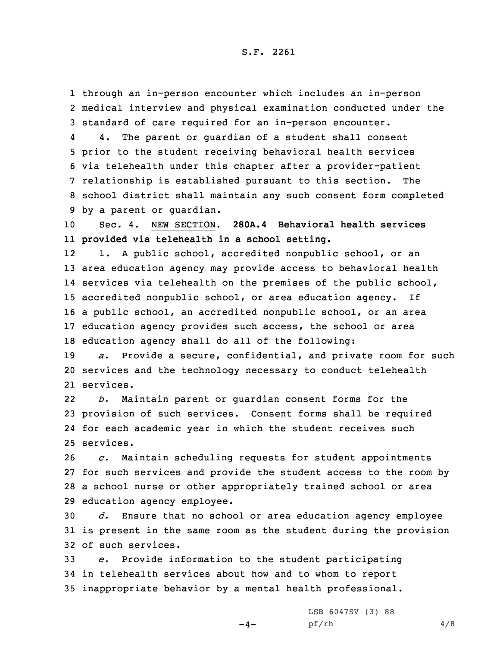1 through an in-person encounter which includes an in-person 2 medical interview and physical examination conducted under the 3 standard of care required for an in-person encounter.

4 4. The parent or guardian of <sup>a</sup> student shall consent prior to the student receiving behavioral health services via telehealth under this chapter after <sup>a</sup> provider-patient relationship is established pursuant to this section. The school district shall maintain any such consent form completed by <sup>a</sup> parent or guardian.

10 Sec. 4. NEW SECTION. **280A.4 Behavioral health services** 11 **provided via telehealth in <sup>a</sup> school setting.**

12 1. <sup>A</sup> public school, accredited nonpublic school, or an area education agency may provide access to behavioral health services via telehealth on the premises of the public school, accredited nonpublic school, or area education agency. If <sup>a</sup> public school, an accredited nonpublic school, or an area education agency provides such access, the school or area education agency shall do all of the following:

19 *a.* Provide <sup>a</sup> secure, confidential, and private room for such 20 services and the technology necessary to conduct telehealth 21 services.

22 *b.* Maintain parent or guardian consent forms for the 23 provision of such services. Consent forms shall be required 24 for each academic year in which the student receives such 25 services.

 *c.* Maintain scheduling requests for student appointments for such services and provide the student access to the room by <sup>a</sup> school nurse or other appropriately trained school or area education agency employee.

30 *d.* Ensure that no school or area education agency employee 31 is present in the same room as the student during the provision 32 of such services.

33 *e.* Provide information to the student participating 34 in telehealth services about how and to whom to report 35 inappropriate behavior by <sup>a</sup> mental health professional.

 $-4-$ 

LSB 6047SV (3) 88 pf/rh 4/8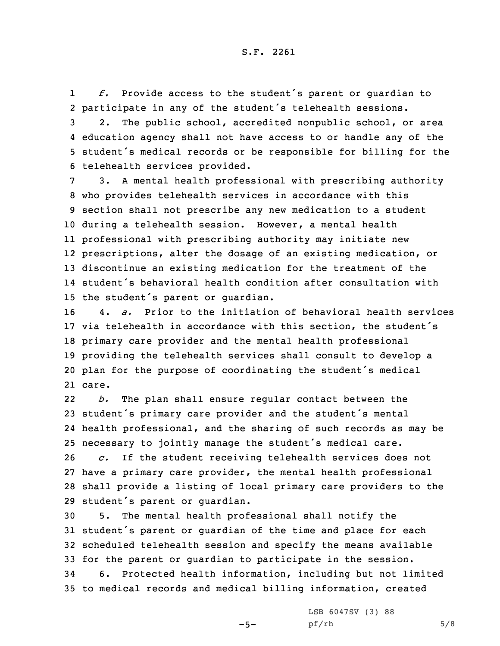1 *f.* Provide access to the student's parent or guardian to 2 participate in any of the student's telehealth sessions.

 2. The public school, accredited nonpublic school, or area education agency shall not have access to or handle any of the student's medical records or be responsible for billing for the telehealth services provided.

 3. <sup>A</sup> mental health professional with prescribing authority who provides telehealth services in accordance with this section shall not prescribe any new medication to <sup>a</sup> student during <sup>a</sup> telehealth session. However, <sup>a</sup> mental health professional with prescribing authority may initiate new prescriptions, alter the dosage of an existing medication, or discontinue an existing medication for the treatment of the student's behavioral health condition after consultation with the student's parent or guardian.

 4. *a.* Prior to the initiation of behavioral health services via telehealth in accordance with this section, the student's primary care provider and the mental health professional providing the telehealth services shall consult to develop <sup>a</sup> plan for the purpose of coordinating the student's medical 21 care.

22 *b.* The plan shall ensure regular contact between the <sup>23</sup> student's primary care provider and the student's mental 24 health professional, and the sharing of such records as may be <sup>25</sup> necessary to jointly manage the student's medical care.

 *c.* If the student receiving telehealth services does not have <sup>a</sup> primary care provider, the mental health professional shall provide <sup>a</sup> listing of local primary care providers to the student's parent or guardian.

 5. The mental health professional shall notify the student's parent or guardian of the time and place for each scheduled telehealth session and specify the means available for the parent or guardian to participate in the session. 6. Protected health information, including but not limited to medical records and medical billing information, created

 $-5-$ 

LSB 6047SV (3) 88  $pf/rh$  5/8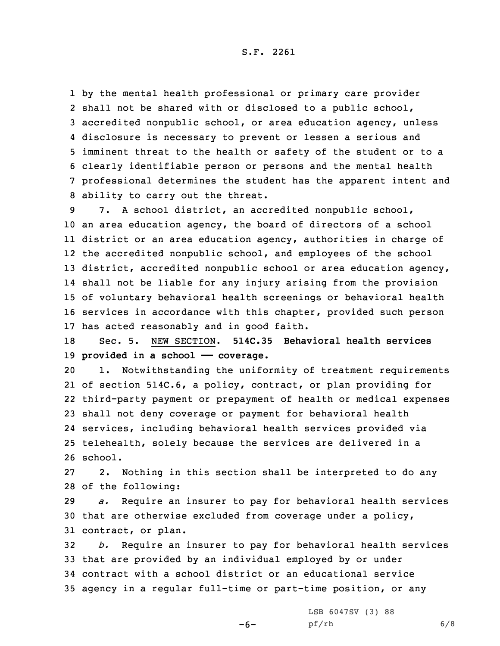S.F. 2261

 by the mental health professional or primary care provider shall not be shared with or disclosed to <sup>a</sup> public school, accredited nonpublic school, or area education agency, unless disclosure is necessary to prevent or lessen <sup>a</sup> serious and imminent threat to the health or safety of the student or to <sup>a</sup> clearly identifiable person or persons and the mental health professional determines the student has the apparent intent and ability to carry out the threat.

 7. <sup>A</sup> school district, an accredited nonpublic school, an area education agency, the board of directors of <sup>a</sup> school district or an area education agency, authorities in charge of the accredited nonpublic school, and employees of the school 13 district, accredited nonpublic school or area education agency, shall not be liable for any injury arising from the provision of voluntary behavioral health screenings or behavioral health services in accordance with this chapter, provided such person has acted reasonably and in good faith.

18 Sec. 5. NEW SECTION. **514C.35 Behavioral health services** 19 **provided in <sup>a</sup> school —— coverage.**

 1. Notwithstanding the uniformity of treatment requirements of section 514C.6, <sup>a</sup> policy, contract, or plan providing for third-party payment or prepayment of health or medical expenses shall not deny coverage or payment for behavioral health services, including behavioral health services provided via telehealth, solely because the services are delivered in <sup>a</sup> 26 school.

27 2. Nothing in this section shall be interpreted to do any 28 of the following:

29 *a.* Require an insurer to pay for behavioral health services 30 that are otherwise excluded from coverage under <sup>a</sup> policy, 31 contract, or plan.

 *b.* Require an insurer to pay for behavioral health services that are provided by an individual employed by or under contract with <sup>a</sup> school district or an educational service agency in <sup>a</sup> regular full-time or part-time position, or any

-6-

LSB 6047SV (3) 88 pf/rh 6/8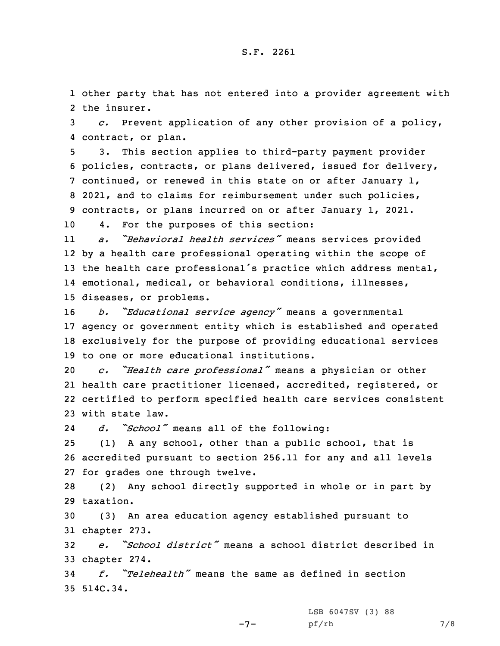1 other party that has not entered into <sup>a</sup> provider agreement with 2 the insurer.

3 *c.* Prevent application of any other provision of <sup>a</sup> policy, 4 contract, or plan.

 3. This section applies to third-party payment provider policies, contracts, or plans delivered, issued for delivery, continued, or renewed in this state on or after January 1, 2021, and to claims for reimbursement under such policies, contracts, or plans incurred on or after January 1, 2021.

10 4. For the purposes of this section:

11 *a. "Behavioral health services"* means services provided 12 by <sup>a</sup> health care professional operating within the scope of 13 the health care professional's practice which address mental, 14 emotional, medical, or behavioral conditions, illnesses, 15 diseases, or problems.

 *b. "Educational service agency"* means <sup>a</sup> governmental agency or government entity which is established and operated exclusively for the purpose of providing educational services to one or more educational institutions.

 *c. "Health care professional"* means <sup>a</sup> physician or other health care practitioner licensed, accredited, registered, or certified to perform specified health care services consistent with state law.

24*d. "School"* means all of the following:

25 (1) <sup>A</sup> any school, other than <sup>a</sup> public school, that is 26 accredited pursuant to section 256.11 for any and all levels 27 for grades one through twelve.

28 (2) Any school directly supported in whole or in part by 29 taxation.

30 (3) An area education agency established pursuant to 31 chapter 273.

32 *e. "School district"* means <sup>a</sup> school district described in 33 chapter 274.

34 *f. "Telehealth"* means the same as defined in section 35 514C.34.

LSB 6047SV (3) 88

 $-7-$